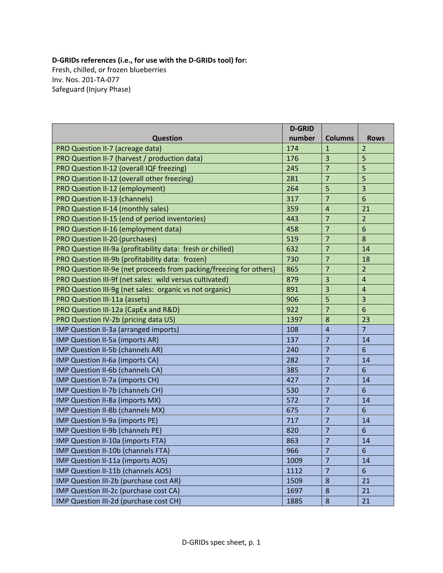## **D‐GRIDs references (i.e., for use with the D‐GRIDs tool) for:**

Fresh, chilled, or frozen blueberries Inv. Nos. 201‐TA‐077 Safeguard (Injury Phase)

|                                                                     | <b>D-GRID</b> |                |                         |
|---------------------------------------------------------------------|---------------|----------------|-------------------------|
| <b>Question</b>                                                     | number        | <b>Columns</b> | <b>Rows</b>             |
| PRO Question II-7 (acreage data)                                    | 174           | $\mathbf{1}$   | $\overline{2}$          |
| PRO Question II-7 (harvest / production data)                       | 176           | 3              | 5                       |
| PRO Question II-12 (overall IQF freezing)                           | 245           | $\overline{7}$ | 5                       |
| PRO Question II-12 (overall other freezing)                         | 281           | $\overline{7}$ | 5                       |
| PRO Question II-12 (employment)                                     | 264           | 5              | $\overline{\mathbf{3}}$ |
| <b>PRO Question II-13 (channels)</b>                                | 317           | $\overline{7}$ | 6                       |
| PRO Question II-14 (monthly sales)                                  | 359           | $\overline{4}$ | 21                      |
| PRO Question II-15 (end of period inventories)                      | 443           | $\overline{7}$ | $\overline{2}$          |
| PRO Question II-16 (employment data)                                | 458           | $\overline{7}$ | $6\phantom{1}6$         |
| PRO Question II-20 (purchases)                                      | 519           | 7              | 8                       |
| PRO Question III-9a (profitability data: fresh or chilled)          | 632           | $\overline{7}$ | 14                      |
| PRO Question III-9b (profitability data: frozen)                    | 730           | $\overline{7}$ | 18                      |
| PRO Question III-9e (net proceeds from packing/freezing for others) | 865           | 7              | $\overline{2}$          |
| PRO Question III-9f (net sales: wild versus cultivated)             | 879           | 3              | $\sqrt{4}$              |
| PRO Question III-9g (net sales: organic vs not organic)             | 891           | 3              | $\sqrt{4}$              |
| <b>PRO Question III-11a (assets)</b>                                | 906           | 5              | 3                       |
| PRO Question III-12a (CapEx and R&D)                                | 922           | $\overline{7}$ | $6\phantom{1}6$         |
| PRO Question IV-2b (pricing data US)                                | 1397          | 8              | 23                      |
| IMP Question II-3a (arranged imports)                               | 108           | $\overline{4}$ | $\overline{7}$          |
| IMP Question II-5a (imports AR)                                     | 137           | $\overline{7}$ | 14                      |
| IMP Question II-5b (channels AR)                                    | 240           | $\overline{7}$ | 6                       |
| IMP Question II-6a (imports CA)                                     | 282           | $\overline{7}$ | 14                      |
| IMP Question II-6b (channels CA)                                    | 385           | $\overline{7}$ | 6                       |
| IMP Question II-7a (imports CH)                                     | 427           | $\overline{7}$ | 14                      |
| IMP Question II-7b (channels CH)                                    | 530           | $\overline{7}$ | 6                       |
| IMP Question II-8a (imports MX)                                     | 572           | $\overline{7}$ | 14                      |
| IMP Question II-8b (channels MX)                                    | 675           | 7              | 6                       |
| IMP Question II-9a (imports PE)                                     | 717           | $\overline{7}$ | 14                      |
| IMP Question II-9b (channels PE)                                    | 820           | $\overline{7}$ | $6\phantom{1}$          |
| IMP Question II-10a (imports FTA)                                   | 863           | $\overline{7}$ | 14                      |
| IMP Question II-10b (channels FTA)                                  | 966           | 7              | 6                       |
| IMP Question II-11a (imports AOS)                                   | 1009          | $\overline{7}$ | 14                      |
| IMP Question II-11b (channels AOS)                                  | 1112          | 7              | 6                       |
| IMP Question III-2b (purchase cost AR)                              | 1509          | 8              | 21                      |
| IMP Question III-2c (purchase cost CA)                              | 1697          | 8              | 21                      |
| IMP Question III-2d (purchase cost CH)                              | 1885          | 8              | 21                      |